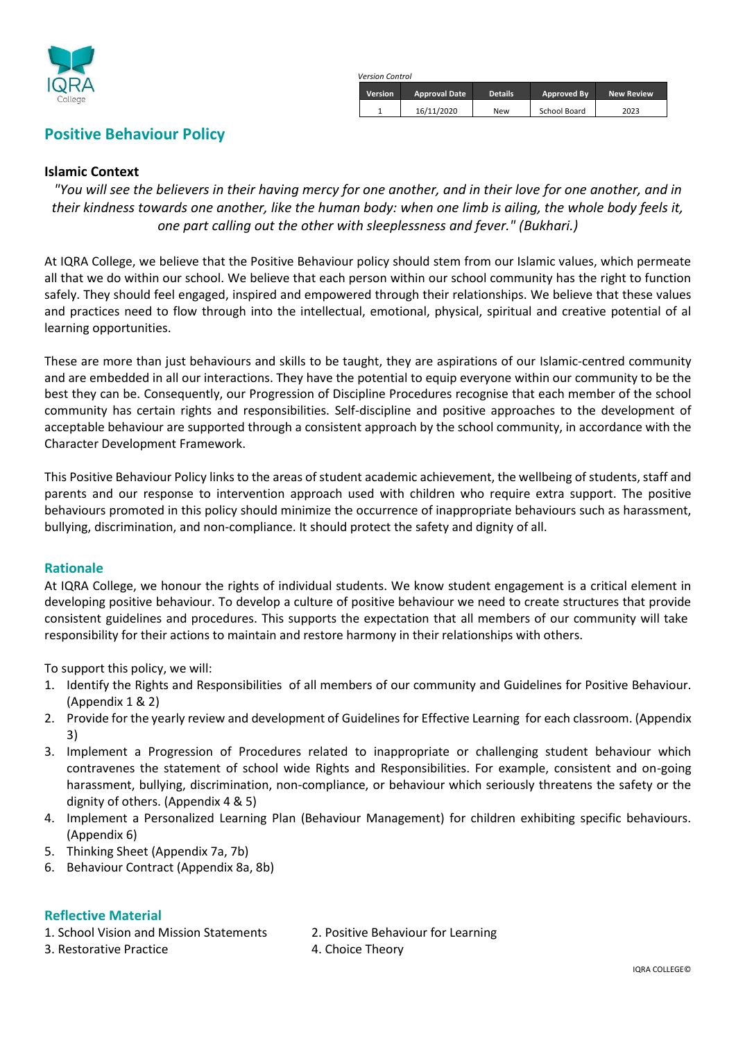

### *Version Control* **Version Approval Date Details Approved By New Review** 1 16/11/2020 New School Board 2023

### **Positive Behaviour Policy**

#### **Islamic Context**

*"You will see the believers in their having mercy for one another, and in their love for one another, and in their kindness towards one another, like the human body: when one limb is ailing, the whole body feels it, one part calling out the other with sleeplessness and fever." (Bukhari.)*

At IQRA College, we believe that the Positive Behaviour policy should stem from our Islamic values, which permeate all that we do within our school. We believe that each person within our school community has the right to function safely. They should feel engaged, inspired and empowered through their relationships. We believe that these values and practices need to flow through into the intellectual, emotional, physical, spiritual and creative potential of al learning opportunities.

These are more than just behaviours and skills to be taught, they are aspirations of our Islamic-centred community and are embedded in all our interactions. They have the potential to equip everyone within our community to be the best they can be. Consequently, our Progression of Discipline Procedures recognise that each member of the school community has certain rights and responsibilities. Self-discipline and positive approaches to the development of acceptable behaviour are supported through a consistent approach by the school community, in accordance with the Character Development Framework.

This Positive Behaviour Policy links to the areas of student academic achievement, the wellbeing of students, staff and parents and our response to intervention approach used with children who require extra support. The positive behaviours promoted in this policy should minimize the occurrence of inappropriate behaviours such as harassment, bullying, discrimination, and non-compliance. It should protect the safety and dignity of all.

#### **Rationale**

At IQRA College, we honour the rights of individual students. We know student engagement is a critical element in developing positive behaviour. To develop a culture of positive behaviour we need to create structures that provide consistent guidelines and procedures. This supports the expectation that all members of our community will take responsibility for their actions to maintain and restore harmony in their relationships with others.

To support this policy, we will:

- 1. Identify the Rights and Responsibilities of all members of our community and Guidelines for Positive Behaviour. (Appendix 1 & 2)
- 2. Provide for the yearly review and development of Guidelines for Effective Learning for each classroom. (Appendix 3)
- 3. Implement a Progression of Procedures related to inappropriate or challenging student behaviour which contravenes the statement of school wide Rights and Responsibilities. For example, consistent and on-going harassment, bullying, discrimination, non-compliance, or behaviour which seriously threatens the safety or the dignity of others. (Appendix 4 & 5)
- 4. Implement a Personalized Learning Plan (Behaviour Management) for children exhibiting specific behaviours. (Appendix 6)
- 5. Thinking Sheet (Appendix 7a, 7b)
- 6. Behaviour Contract (Appendix 8a, 8b)

### **Reflective Material**

1. School Vision and Mission Statements 2. Positive Behaviour for Learning

- 3. Restorative Practice **4. Choice Theory**
- -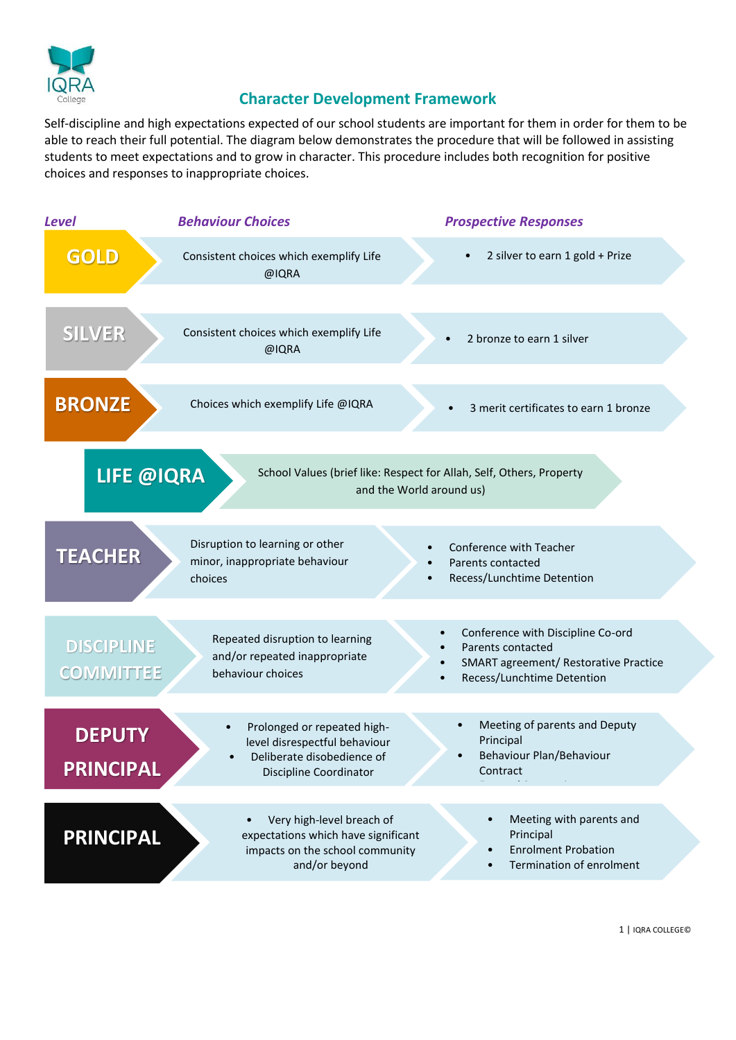

### **Character Development Framework**

Self-discipline and high expectations expected of our school students are important for them in order for them to be able to reach their full potential. The diagram below demonstrates the procedure that will be followed in assisting students to meet expectations and to grow in character. This procedure includes both recognition for positive choices and responses to inappropriate choices.

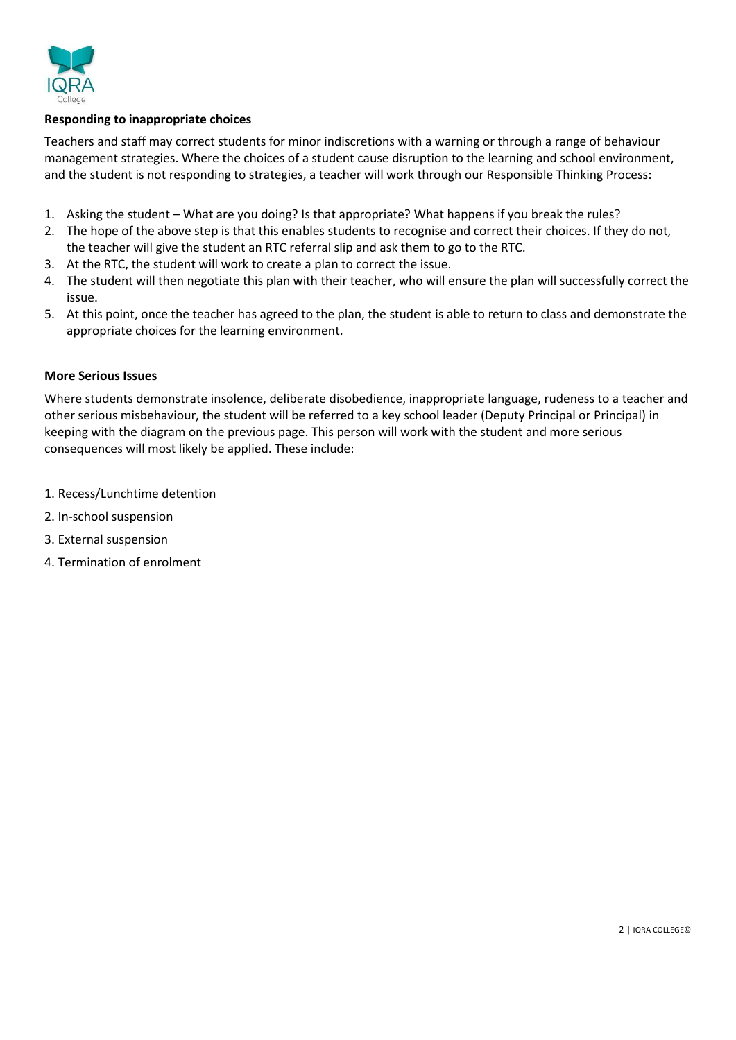

#### **Responding to inappropriate choices**

Teachers and staff may correct students for minor indiscretions with a warning or through a range of behaviour management strategies. Where the choices of a student cause disruption to the learning and school environment, and the student is not responding to strategies, a teacher will work through our Responsible Thinking Process:

- 1. Asking the student What are you doing? Is that appropriate? What happens if you break the rules?
- 2. The hope of the above step is that this enables students to recognise and correct their choices. If they do not, the teacher will give the student an RTC referral slip and ask them to go to the RTC.
- 3. At the RTC, the student will work to create a plan to correct the issue.
- 4. The student will then negotiate this plan with their teacher, who will ensure the plan will successfully correct the issue.
- 5. At this point, once the teacher has agreed to the plan, the student is able to return to class and demonstrate the appropriate choices for the learning environment.

#### **More Serious Issues**

Where students demonstrate insolence, deliberate disobedience, inappropriate language, rudeness to a teacher and other serious misbehaviour, the student will be referred to a key school leader (Deputy Principal or Principal) in keeping with the diagram on the previous page. This person will work with the student and more serious consequences will most likely be applied. These include:

- 1. Recess/Lunchtime detention
- 2. In-school suspension
- 3. External suspension
- 4. Termination of enrolment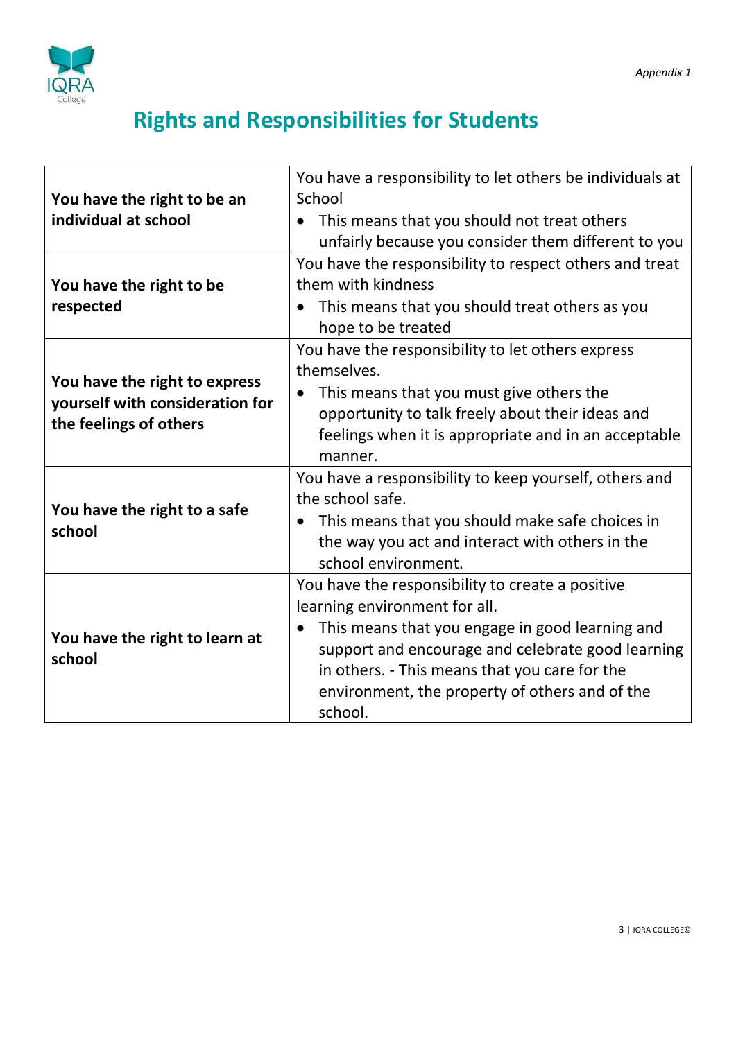

# **Rights and Responsibilities for Students**

| You have the right to be an                                                                | You have a responsibility to let others be individuals at<br>School                                                                                                                                                                                                                                     |  |  |
|--------------------------------------------------------------------------------------------|---------------------------------------------------------------------------------------------------------------------------------------------------------------------------------------------------------------------------------------------------------------------------------------------------------|--|--|
| individual at school                                                                       | This means that you should not treat others<br>unfairly because you consider them different to you                                                                                                                                                                                                      |  |  |
| You have the right to be<br>respected                                                      | You have the responsibility to respect others and treat<br>them with kindness<br>This means that you should treat others as you<br>hope to be treated                                                                                                                                                   |  |  |
| You have the right to express<br>yourself with consideration for<br>the feelings of others | You have the responsibility to let others express<br>themselves.<br>This means that you must give others the<br>opportunity to talk freely about their ideas and<br>feelings when it is appropriate and in an acceptable<br>manner.                                                                     |  |  |
| You have the right to a safe<br>school                                                     | You have a responsibility to keep yourself, others and<br>the school safe.<br>This means that you should make safe choices in<br>the way you act and interact with others in the<br>school environment.                                                                                                 |  |  |
| You have the right to learn at<br>school                                                   | You have the responsibility to create a positive<br>learning environment for all.<br>This means that you engage in good learning and<br>support and encourage and celebrate good learning<br>in others. - This means that you care for the<br>environment, the property of others and of the<br>school. |  |  |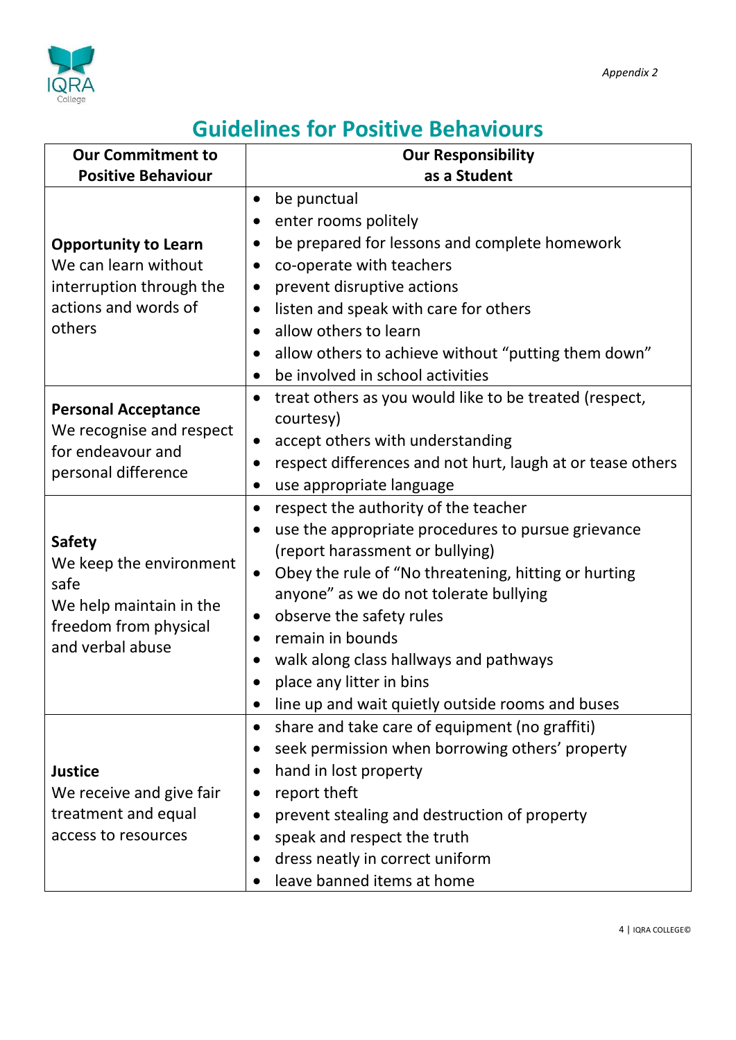

### **Guidelines for Positive Behaviours**

| <b>Our Commitment to</b>                      | <b>Our Responsibility</b>                                                        |  |  |
|-----------------------------------------------|----------------------------------------------------------------------------------|--|--|
| <b>Positive Behaviour</b>                     | as a Student                                                                     |  |  |
|                                               | be punctual<br>$\bullet$                                                         |  |  |
|                                               | enter rooms politely<br>$\bullet$                                                |  |  |
| <b>Opportunity to Learn</b>                   | be prepared for lessons and complete homework<br>$\bullet$                       |  |  |
| We can learn without                          | co-operate with teachers<br>$\bullet$                                            |  |  |
| interruption through the                      | prevent disruptive actions<br>$\bullet$                                          |  |  |
| actions and words of                          | listen and speak with care for others<br>$\bullet$                               |  |  |
| others                                        | allow others to learn<br>$\bullet$                                               |  |  |
|                                               | allow others to achieve without "putting them down"<br>$\bullet$                 |  |  |
|                                               | be involved in school activities<br>$\bullet$                                    |  |  |
| <b>Personal Acceptance</b>                    | treat others as you would like to be treated (respect,<br>$\bullet$<br>courtesy) |  |  |
| We recognise and respect<br>for endeavour and | accept others with understanding<br>$\bullet$                                    |  |  |
| personal difference                           | respect differences and not hurt, laugh at or tease others<br>$\bullet$          |  |  |
|                                               | use appropriate language<br>$\bullet$                                            |  |  |
|                                               | respect the authority of the teacher<br>$\bullet$                                |  |  |
|                                               | use the appropriate procedures to pursue grievance<br>$\bullet$                  |  |  |
| <b>Safety</b>                                 | (report harassment or bullying)                                                  |  |  |
| We keep the environment<br>safe               | Obey the rule of "No threatening, hitting or hurting<br>$\bullet$                |  |  |
| We help maintain in the                       | anyone" as we do not tolerate bullying                                           |  |  |
| freedom from physical                         | observe the safety rules<br>$\bullet$                                            |  |  |
| and verbal abuse                              | remain in bounds<br>$\bullet$                                                    |  |  |
|                                               | walk along class hallways and pathways<br>$\bullet$                              |  |  |
|                                               | place any litter in bins<br>$\bullet$                                            |  |  |
|                                               | line up and wait quietly outside rooms and buses<br>$\bullet$                    |  |  |
|                                               | share and take care of equipment (no graffiti)<br>$\bullet$                      |  |  |
|                                               | seek permission when borrowing others' property<br>$\bullet$                     |  |  |
| <b>Justice</b>                                | hand in lost property<br>$\bullet$                                               |  |  |
| We receive and give fair                      | report theft<br>$\bullet$                                                        |  |  |
| treatment and equal                           | prevent stealing and destruction of property<br>$\bullet$                        |  |  |
| access to resources                           | speak and respect the truth<br>$\bullet$                                         |  |  |
|                                               | dress neatly in correct uniform<br>$\bullet$                                     |  |  |
|                                               | leave banned items at home<br>$\bullet$                                          |  |  |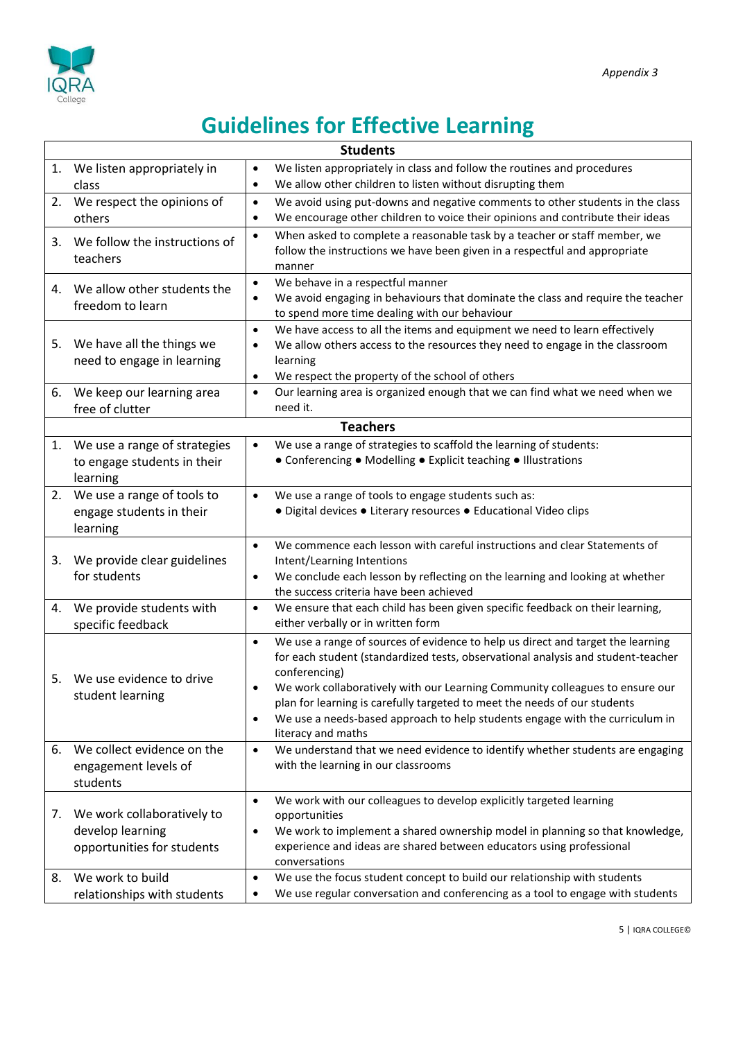

# **Guidelines for Effective Learning**

| <b>Students</b>                     |                                                                                                                  |  |  |
|-------------------------------------|------------------------------------------------------------------------------------------------------------------|--|--|
| 1. We listen appropriately in       | We listen appropriately in class and follow the routines and procedures<br>$\bullet$                             |  |  |
| class                               | We allow other children to listen without disrupting them<br>$\bullet$                                           |  |  |
| We respect the opinions of<br>2.    | We avoid using put-downs and negative comments to other students in the class<br>$\bullet$                       |  |  |
| others                              | We encourage other children to voice their opinions and contribute their ideas<br>$\bullet$                      |  |  |
| We follow the instructions of<br>3. | When asked to complete a reasonable task by a teacher or staff member, we<br>$\bullet$                           |  |  |
| teachers                            | follow the instructions we have been given in a respectful and appropriate                                       |  |  |
|                                     | manner                                                                                                           |  |  |
| We allow other students the<br>4.   | We behave in a respectful manner<br>$\bullet$                                                                    |  |  |
| freedom to learn                    | We avoid engaging in behaviours that dominate the class and require the teacher<br>$\bullet$                     |  |  |
|                                     | to spend more time dealing with our behaviour                                                                    |  |  |
|                                     | We have access to all the items and equipment we need to learn effectively<br>$\bullet$                          |  |  |
| We have all the things we<br>5.     | We allow others access to the resources they need to engage in the classroom<br>$\bullet$                        |  |  |
| need to engage in learning          | learning                                                                                                         |  |  |
|                                     | We respect the property of the school of others<br>$\bullet$                                                     |  |  |
| We keep our learning area<br>6.     | Our learning area is organized enough that we can find what we need when we<br>$\bullet$                         |  |  |
| free of clutter                     | need it.                                                                                                         |  |  |
|                                     | <b>Teachers</b>                                                                                                  |  |  |
| We use a range of strategies<br>1.  | We use a range of strategies to scaffold the learning of students:<br>$\bullet$                                  |  |  |
| to engage students in their         | • Conferencing • Modelling • Explicit teaching • Illustrations                                                   |  |  |
| learning                            |                                                                                                                  |  |  |
| We use a range of tools to<br>2.    | We use a range of tools to engage students such as:<br>$\bullet$                                                 |  |  |
| engage students in their            | • Digital devices • Literary resources • Educational Video clips                                                 |  |  |
| learning                            |                                                                                                                  |  |  |
|                                     | We commence each lesson with careful instructions and clear Statements of<br>$\bullet$                           |  |  |
| We provide clear guidelines<br>3.   | Intent/Learning Intentions                                                                                       |  |  |
| for students                        | We conclude each lesson by reflecting on the learning and looking at whether<br>٠                                |  |  |
|                                     | the success criteria have been achieved                                                                          |  |  |
| We provide students with<br>4.      | We ensure that each child has been given specific feedback on their learning,<br>$\bullet$                       |  |  |
| specific feedback                   | either verbally or in written form                                                                               |  |  |
|                                     | We use a range of sources of evidence to help us direct and target the learning<br>$\bullet$                     |  |  |
|                                     | for each student (standardized tests, observational analysis and student-teacher                                 |  |  |
| We use evidence to drive<br>5.      | conferencing)                                                                                                    |  |  |
| student learning                    | We work collaboratively with our Learning Community colleagues to ensure our<br>$\bullet$                        |  |  |
|                                     | plan for learning is carefully targeted to meet the needs of our students                                        |  |  |
|                                     | We use a needs-based approach to help students engage with the curriculum in<br>$\bullet$                        |  |  |
| We collect evidence on the<br>6.    | literacy and maths<br>We understand that we need evidence to identify whether students are engaging<br>$\bullet$ |  |  |
|                                     | with the learning in our classrooms                                                                              |  |  |
| engagement levels of<br>students    |                                                                                                                  |  |  |
|                                     |                                                                                                                  |  |  |
| We work collaboratively to<br>7.    | We work with our colleagues to develop explicitly targeted learning<br>$\bullet$                                 |  |  |
| develop learning                    | opportunities<br>We work to implement a shared ownership model in planning so that knowledge,<br>$\bullet$       |  |  |
| opportunities for students          | experience and ideas are shared between educators using professional                                             |  |  |
|                                     | conversations                                                                                                    |  |  |
| We work to build<br>8.              | We use the focus student concept to build our relationship with students<br>$\bullet$                            |  |  |
| relationships with students         | We use regular conversation and conferencing as a tool to engage with students<br>$\bullet$                      |  |  |
|                                     |                                                                                                                  |  |  |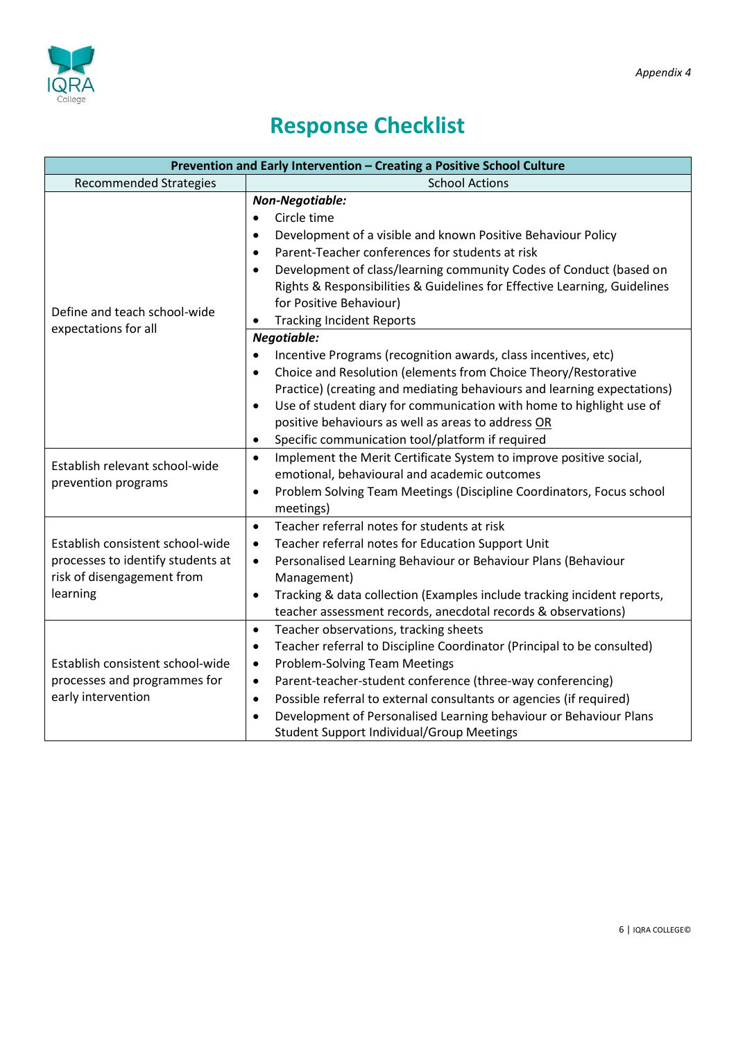



## **Response Checklist**

| Prevention and Early Intervention - Creating a Positive School Culture                                          |                                                                                                                                                                                                                                                                                                                                                                                                                                                                                                                                                                                                     |  |  |
|-----------------------------------------------------------------------------------------------------------------|-----------------------------------------------------------------------------------------------------------------------------------------------------------------------------------------------------------------------------------------------------------------------------------------------------------------------------------------------------------------------------------------------------------------------------------------------------------------------------------------------------------------------------------------------------------------------------------------------------|--|--|
| <b>Recommended Strategies</b>                                                                                   | <b>School Actions</b>                                                                                                                                                                                                                                                                                                                                                                                                                                                                                                                                                                               |  |  |
| Define and teach school-wide                                                                                    | Non-Negotiable:<br>Circle time<br>$\bullet$<br>Development of a visible and known Positive Behaviour Policy<br>$\bullet$<br>Parent-Teacher conferences for students at risk<br>$\bullet$<br>Development of class/learning community Codes of Conduct (based on<br>$\bullet$<br>Rights & Responsibilities & Guidelines for Effective Learning, Guidelines<br>for Positive Behaviour)<br><b>Tracking Incident Reports</b><br>$\bullet$                                                                                                                                                                |  |  |
| expectations for all<br>Establish relevant school-wide                                                          | Negotiable:<br>Incentive Programs (recognition awards, class incentives, etc)<br>$\bullet$<br>Choice and Resolution (elements from Choice Theory/Restorative<br>$\bullet$<br>Practice) (creating and mediating behaviours and learning expectations)<br>Use of student diary for communication with home to highlight use of<br>$\bullet$<br>positive behaviours as well as areas to address OR<br>Specific communication tool/platform if required<br>$\bullet$<br>Implement the Merit Certificate System to improve positive social,<br>$\bullet$<br>emotional, behavioural and academic outcomes |  |  |
| prevention programs                                                                                             | Problem Solving Team Meetings (Discipline Coordinators, Focus school<br>$\bullet$<br>meetings)                                                                                                                                                                                                                                                                                                                                                                                                                                                                                                      |  |  |
| Establish consistent school-wide<br>processes to identify students at<br>risk of disengagement from<br>learning | Teacher referral notes for students at risk<br>$\bullet$<br>Teacher referral notes for Education Support Unit<br>$\bullet$<br>Personalised Learning Behaviour or Behaviour Plans (Behaviour<br>$\bullet$<br>Management)<br>Tracking & data collection (Examples include tracking incident reports,<br>$\bullet$<br>teacher assessment records, anecdotal records & observations)                                                                                                                                                                                                                    |  |  |
| Establish consistent school-wide<br>processes and programmes for<br>early intervention                          | Teacher observations, tracking sheets<br>$\bullet$<br>Teacher referral to Discipline Coordinator (Principal to be consulted)<br>$\bullet$<br><b>Problem-Solving Team Meetings</b><br>$\bullet$<br>Parent-teacher-student conference (three-way conferencing)<br>$\bullet$<br>Possible referral to external consultants or agencies (if required)<br>$\bullet$<br>Development of Personalised Learning behaviour or Behaviour Plans<br>$\bullet$<br><b>Student Support Individual/Group Meetings</b>                                                                                                 |  |  |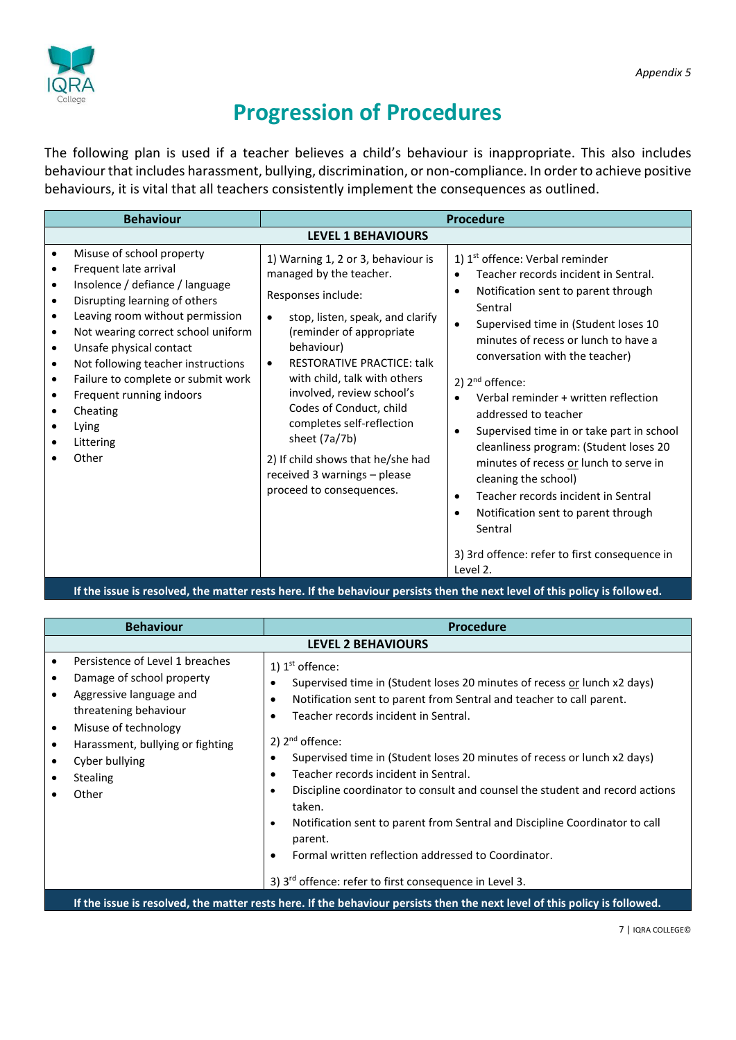

### **Progression of Procedures**

The following plan is used if a teacher believes a child's behaviour is inappropriate. This also includes behaviour that includes harassment, bullying, discrimination, or non-compliance. In order to achieve positive behaviours, it is vital that all teachers consistently implement the consequences as outlined.

| <b>LEVEL 1 BEHAVIOURS</b>                                                                                                                                                                                                                                                                                                                                                                                                                                                                                                                                                                                                                                                                                                                 |  |  |  |  |
|-------------------------------------------------------------------------------------------------------------------------------------------------------------------------------------------------------------------------------------------------------------------------------------------------------------------------------------------------------------------------------------------------------------------------------------------------------------------------------------------------------------------------------------------------------------------------------------------------------------------------------------------------------------------------------------------------------------------------------------------|--|--|--|--|
| 1) 1 <sup>st</sup> offence: Verbal reminder<br>Teacher records incident in Sentral.<br>Notification sent to parent through<br>$\bullet$<br>Sentral<br>Supervised time in (Student loses 10<br>$\bullet$<br>minutes of recess or lunch to have a<br>conversation with the teacher)<br>2) $2nd$ offence:<br>Verbal reminder + written reflection<br>$\bullet$<br>addressed to teacher<br>Supervised time in or take part in school<br>$\bullet$<br>cleanliness program: (Student loses 20<br>minutes of recess or lunch to serve in<br>cleaning the school)<br>Teacher records incident in Sentral<br>$\bullet$<br>Notification sent to parent through<br>$\bullet$<br>Sentral<br>3) 3rd offence: refer to first consequence in<br>Level 2. |  |  |  |  |
|                                                                                                                                                                                                                                                                                                                                                                                                                                                                                                                                                                                                                                                                                                                                           |  |  |  |  |

**If the issue is resolved, the matter rests here. If the behaviour persists then the next level of this policy is followed.**

| <b>Behaviour</b>                                                                                                                                                                                                                                          | <b>Procedure</b>                                                                                                                                                                                                                                                                                                                                                                                                                                                                                                                                                                                                                                                                                                                        |  |
|-----------------------------------------------------------------------------------------------------------------------------------------------------------------------------------------------------------------------------------------------------------|-----------------------------------------------------------------------------------------------------------------------------------------------------------------------------------------------------------------------------------------------------------------------------------------------------------------------------------------------------------------------------------------------------------------------------------------------------------------------------------------------------------------------------------------------------------------------------------------------------------------------------------------------------------------------------------------------------------------------------------------|--|
| <b>LEVEL 2 BEHAVIOURS</b>                                                                                                                                                                                                                                 |                                                                                                                                                                                                                                                                                                                                                                                                                                                                                                                                                                                                                                                                                                                                         |  |
| Persistence of Level 1 breaches<br>Damage of school property<br>Aggressive language and<br>threatening behaviour<br>Misuse of technology<br>$\bullet$<br>Harassment, bullying or fighting<br>$\bullet$<br>Cyber bullying<br><b>Stealing</b><br>٠<br>Other | 1) $1^{\text{st}}$ offence:<br>Supervised time in (Student loses 20 minutes of recess or lunch x2 days)<br>Notification sent to parent from Sentral and teacher to call parent.<br>٠<br>Teacher records incident in Sentral.<br>2) $2nd$ offence:<br>Supervised time in (Student loses 20 minutes of recess or lunch x2 days)<br>٠<br>Teacher records incident in Sentral.<br>$\bullet$<br>Discipline coordinator to consult and counsel the student and record actions<br>$\bullet$<br>taken.<br>Notification sent to parent from Sentral and Discipline Coordinator to call<br>$\bullet$<br>parent.<br>Formal written reflection addressed to Coordinator.<br>٠<br>3) 3 <sup>rd</sup> offence: refer to first consequence in Level 3. |  |
| If the issue is resolved, the matter rests here. If the behaviour persists then the next level of this policy is followed.                                                                                                                                |                                                                                                                                                                                                                                                                                                                                                                                                                                                                                                                                                                                                                                                                                                                                         |  |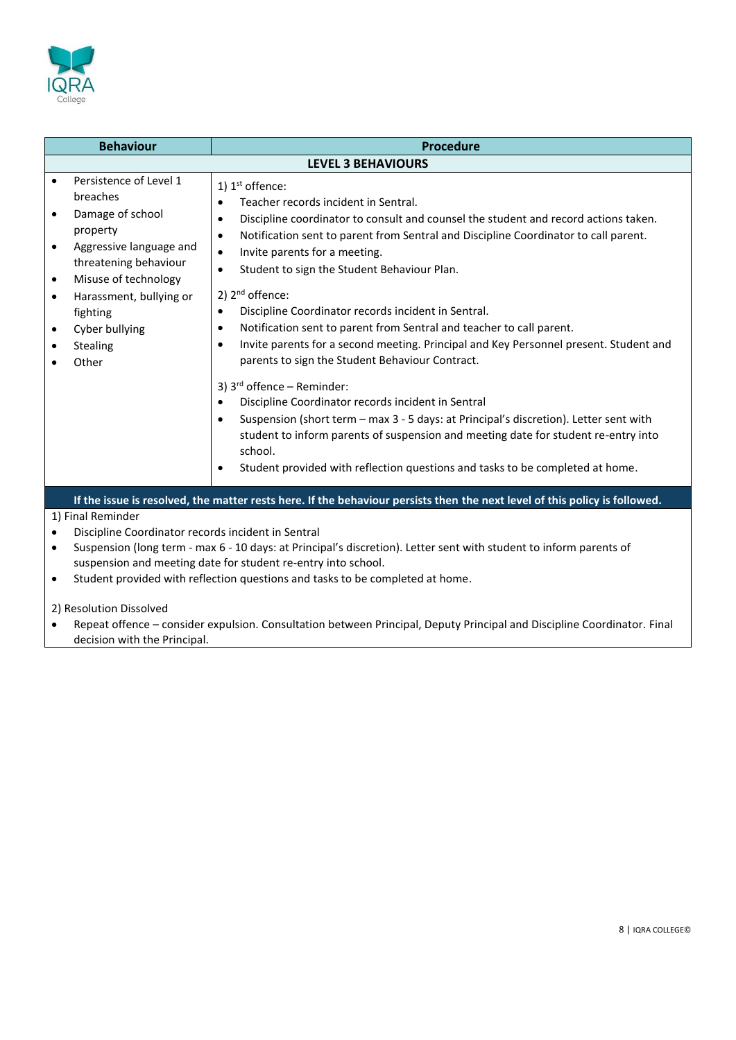

| <b>Behaviour</b><br><b>Procedure</b>                                                                                       |                                                                                                                                                                                                                              |                                                                                                                                                                                                                                                                                                                                                                                                                                                                                                                                                                                                                                                                                                                                                                                                                                                                                                                                                                                                                                                                                                                                            |  |
|----------------------------------------------------------------------------------------------------------------------------|------------------------------------------------------------------------------------------------------------------------------------------------------------------------------------------------------------------------------|--------------------------------------------------------------------------------------------------------------------------------------------------------------------------------------------------------------------------------------------------------------------------------------------------------------------------------------------------------------------------------------------------------------------------------------------------------------------------------------------------------------------------------------------------------------------------------------------------------------------------------------------------------------------------------------------------------------------------------------------------------------------------------------------------------------------------------------------------------------------------------------------------------------------------------------------------------------------------------------------------------------------------------------------------------------------------------------------------------------------------------------------|--|
|                                                                                                                            | <b>LEVEL 3 BEHAVIOURS</b>                                                                                                                                                                                                    |                                                                                                                                                                                                                                                                                                                                                                                                                                                                                                                                                                                                                                                                                                                                                                                                                                                                                                                                                                                                                                                                                                                                            |  |
| $\bullet$<br>$\bullet$<br>$\bullet$<br>$\bullet$<br>$\bullet$<br>$\bullet$<br>$\bullet$                                    | Persistence of Level 1<br>breaches<br>Damage of school<br>property<br>Aggressive language and<br>threatening behaviour<br>Misuse of technology<br>Harassment, bullying or<br>fighting<br>Cyber bullying<br>Stealing<br>Other | 1) $1st$ offence:<br>Teacher records incident in Sentral.<br>$\bullet$<br>Discipline coordinator to consult and counsel the student and record actions taken.<br>$\bullet$<br>Notification sent to parent from Sentral and Discipline Coordinator to call parent.<br>$\bullet$<br>Invite parents for a meeting.<br>$\bullet$<br>Student to sign the Student Behaviour Plan.<br>$\bullet$<br>2) $2nd$ offence:<br>Discipline Coordinator records incident in Sentral.<br>$\bullet$<br>Notification sent to parent from Sentral and teacher to call parent.<br>$\bullet$<br>Invite parents for a second meeting. Principal and Key Personnel present. Student and<br>$\bullet$<br>parents to sign the Student Behaviour Contract.<br>3) $3^{rd}$ offence – Reminder:<br>Discipline Coordinator records incident in Sentral<br>$\bullet$<br>Suspension (short term - max 3 - 5 days: at Principal's discretion). Letter sent with<br>$\bullet$<br>student to inform parents of suspension and meeting date for student re-entry into<br>school.<br>Student provided with reflection questions and tasks to be completed at home.<br>$\bullet$ |  |
| If the issue is resolved, the matter rests here. If the behaviour persists then the next level of this policy is followed. |                                                                                                                                                                                                                              |                                                                                                                                                                                                                                                                                                                                                                                                                                                                                                                                                                                                                                                                                                                                                                                                                                                                                                                                                                                                                                                                                                                                            |  |
| 1) Final Reminder                                                                                                          |                                                                                                                                                                                                                              |                                                                                                                                                                                                                                                                                                                                                                                                                                                                                                                                                                                                                                                                                                                                                                                                                                                                                                                                                                                                                                                                                                                                            |  |
| $\bullet$                                                                                                                  | Discipline Coordinator records incident in Sentral                                                                                                                                                                           |                                                                                                                                                                                                                                                                                                                                                                                                                                                                                                                                                                                                                                                                                                                                                                                                                                                                                                                                                                                                                                                                                                                                            |  |
| $\bullet$                                                                                                                  | Suspension (long term - max 6 - 10 days: at Principal's discretion). Letter sent with student to inform parents of                                                                                                           |                                                                                                                                                                                                                                                                                                                                                                                                                                                                                                                                                                                                                                                                                                                                                                                                                                                                                                                                                                                                                                                                                                                                            |  |
| $\bullet$                                                                                                                  | suspension and meeting date for student re-entry into school.<br>Student provided with reflection questions and tasks to be completed at home.                                                                               |                                                                                                                                                                                                                                                                                                                                                                                                                                                                                                                                                                                                                                                                                                                                                                                                                                                                                                                                                                                                                                                                                                                                            |  |
|                                                                                                                            | 2) Resolution Dissolved                                                                                                                                                                                                      |                                                                                                                                                                                                                                                                                                                                                                                                                                                                                                                                                                                                                                                                                                                                                                                                                                                                                                                                                                                                                                                                                                                                            |  |

• Repeat offence – consider expulsion. Consultation between Principal, Deputy Principal and Discipline Coordinator. Final decision with the Principal.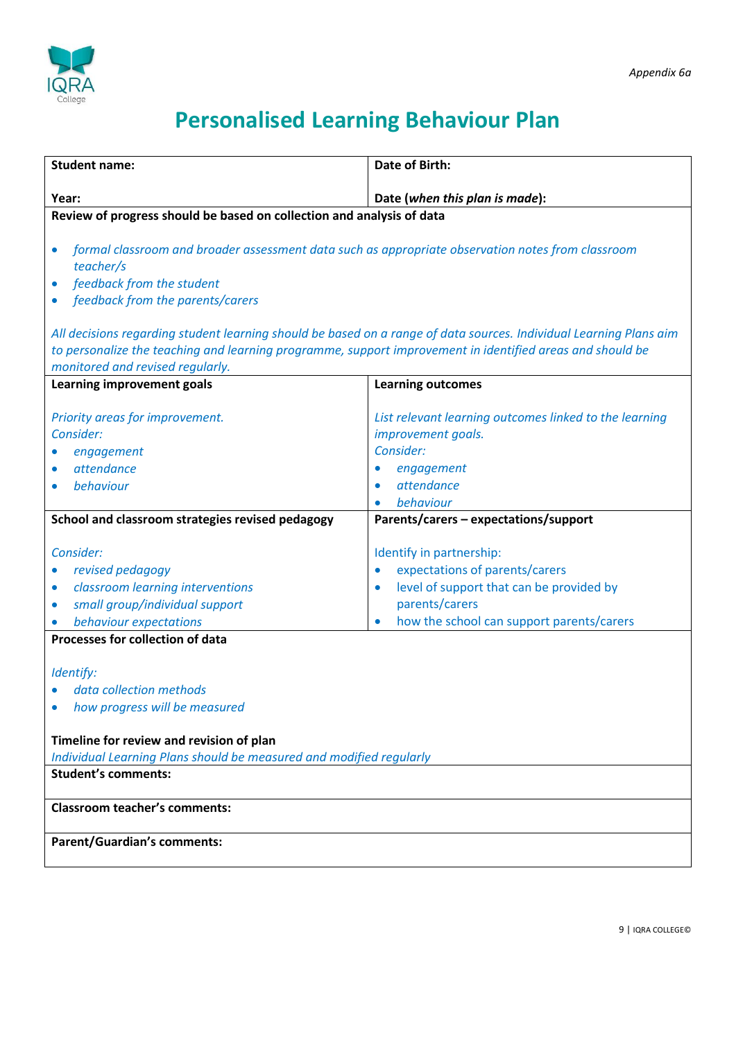

## **Personalised Learning Behaviour Plan**

| <b>Student name:</b>                                                                                                                                                                                      | <b>Date of Birth:</b>                                                                                                                                                                                        |  |
|-----------------------------------------------------------------------------------------------------------------------------------------------------------------------------------------------------------|--------------------------------------------------------------------------------------------------------------------------------------------------------------------------------------------------------------|--|
|                                                                                                                                                                                                           |                                                                                                                                                                                                              |  |
| Year:<br>Date (when this plan is made):                                                                                                                                                                   |                                                                                                                                                                                                              |  |
| Review of progress should be based on collection and analysis of data                                                                                                                                     |                                                                                                                                                                                                              |  |
| formal classroom and broader assessment data such as appropriate observation notes from classroom<br>teacher/s<br>feedback from the student<br>$\bullet$<br>feedback from the parents/carers<br>$\bullet$ |                                                                                                                                                                                                              |  |
| All decisions regarding student learning should be based on a range of data sources. Individual Learning Plans aim                                                                                        |                                                                                                                                                                                                              |  |
| to personalize the teaching and learning programme, support improvement in identified areas and should be                                                                                                 |                                                                                                                                                                                                              |  |
| monitored and revised regularly.                                                                                                                                                                          |                                                                                                                                                                                                              |  |
| Learning improvement goals                                                                                                                                                                                | <b>Learning outcomes</b>                                                                                                                                                                                     |  |
| Priority areas for improvement.<br>Consider:<br>engagement<br>attendance<br>$\bullet$<br>behaviour<br>$\bullet$                                                                                           | List relevant learning outcomes linked to the learning<br>improvement goals.<br>Consider:<br>engagement<br>$\bullet$<br>attendance<br>$\bullet$<br>behaviour                                                 |  |
| School and classroom strategies revised pedagogy                                                                                                                                                          | Parents/carers - expectations/support                                                                                                                                                                        |  |
| Consider:<br>revised pedagogy<br>classroom learning interventions<br>$\bullet$<br>small group/individual support<br>$\bullet$<br>behaviour expectations                                                   | Identify in partnership:<br>expectations of parents/carers<br>$\bullet$<br>level of support that can be provided by<br>$\bullet$<br>parents/carers<br>how the school can support parents/carers<br>$\bullet$ |  |
| Processes for collection of data                                                                                                                                                                          |                                                                                                                                                                                                              |  |
| Identify:<br>data collection methods<br>how progress will be measured<br>Timeline for review and revision of plan<br>Individual Learning Plans should be measured and modified regularly                  |                                                                                                                                                                                                              |  |
| <b>Student's comments:</b>                                                                                                                                                                                |                                                                                                                                                                                                              |  |
|                                                                                                                                                                                                           |                                                                                                                                                                                                              |  |
| <b>Classroom teacher's comments:</b>                                                                                                                                                                      |                                                                                                                                                                                                              |  |
| <b>Parent/Guardian's comments:</b>                                                                                                                                                                        |                                                                                                                                                                                                              |  |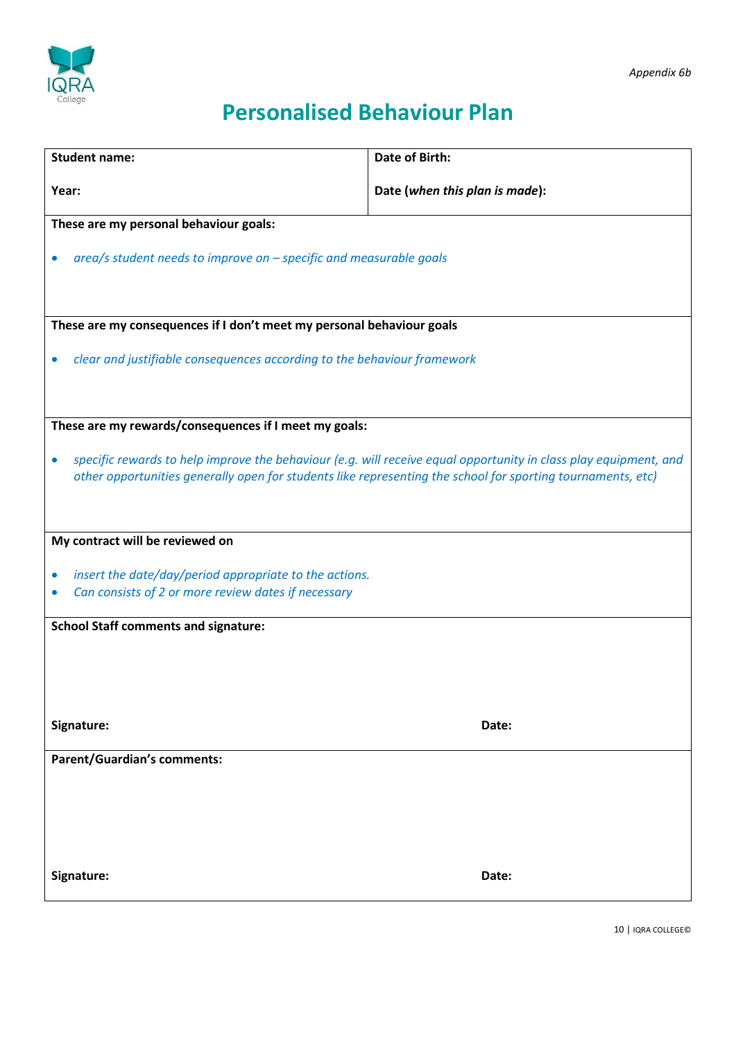

## **Personalised Behaviour Plan**

| <b>Student name:</b>                                                                                                                                                                                                                         | <b>Date of Birth:</b>          |  |
|----------------------------------------------------------------------------------------------------------------------------------------------------------------------------------------------------------------------------------------------|--------------------------------|--|
| Year:                                                                                                                                                                                                                                        | Date (when this plan is made): |  |
| These are my personal behaviour goals:                                                                                                                                                                                                       |                                |  |
| area/s student needs to improve on - specific and measurable goals                                                                                                                                                                           |                                |  |
| These are my consequences if I don't meet my personal behaviour goals                                                                                                                                                                        |                                |  |
| clear and justifiable consequences according to the behaviour framework                                                                                                                                                                      |                                |  |
| These are my rewards/consequences if I meet my goals:                                                                                                                                                                                        |                                |  |
| specific rewards to help improve the behaviour (e.g. will receive equal opportunity in class play equipment, and<br>$\bullet$<br>other opportunities generally open for students like representing the school for sporting tournaments, etc) |                                |  |
| My contract will be reviewed on                                                                                                                                                                                                              |                                |  |
| insert the date/day/period appropriate to the actions.<br>$\bullet$<br>Can consists of 2 or more review dates if necessary                                                                                                                   |                                |  |
| <b>School Staff comments and signature:</b>                                                                                                                                                                                                  |                                |  |
|                                                                                                                                                                                                                                              |                                |  |
| Signature:                                                                                                                                                                                                                                   | Date:                          |  |
| <b>Parent/Guardian's comments:</b>                                                                                                                                                                                                           |                                |  |
|                                                                                                                                                                                                                                              |                                |  |
| Signature:                                                                                                                                                                                                                                   | Date:                          |  |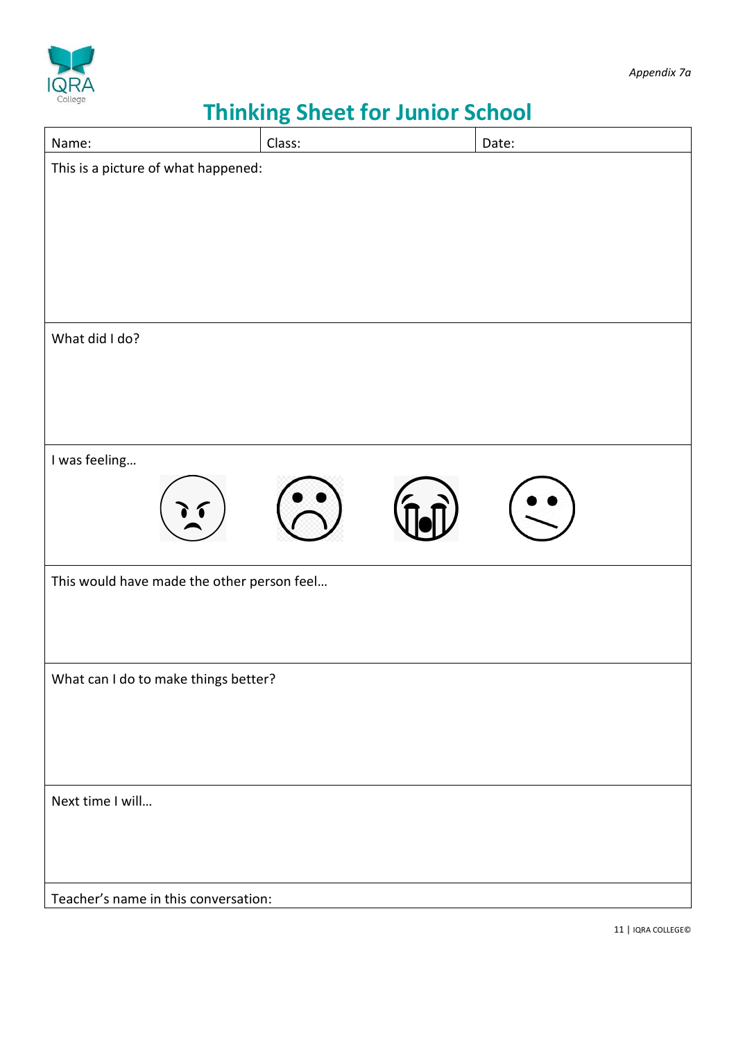

# **Thinking Sheet for Junior School**

| Name:                                      | Class: | Date: |  |
|--------------------------------------------|--------|-------|--|
| This is a picture of what happened:        |        |       |  |
|                                            |        |       |  |
|                                            |        |       |  |
|                                            |        |       |  |
|                                            |        |       |  |
|                                            |        |       |  |
| What did I do?                             |        |       |  |
|                                            |        |       |  |
|                                            |        |       |  |
|                                            |        |       |  |
|                                            |        |       |  |
| I was feeling                              |        |       |  |
|                                            |        |       |  |
|                                            |        |       |  |
|                                            |        |       |  |
| This would have made the other person feel |        |       |  |
|                                            |        |       |  |
|                                            |        |       |  |
|                                            |        |       |  |
| What can I do to make things better?       |        |       |  |
|                                            |        |       |  |
|                                            |        |       |  |
|                                            |        |       |  |
| Next time I will                           |        |       |  |
|                                            |        |       |  |
|                                            |        |       |  |
|                                            |        |       |  |
| Teacher's name in this conversation:       |        |       |  |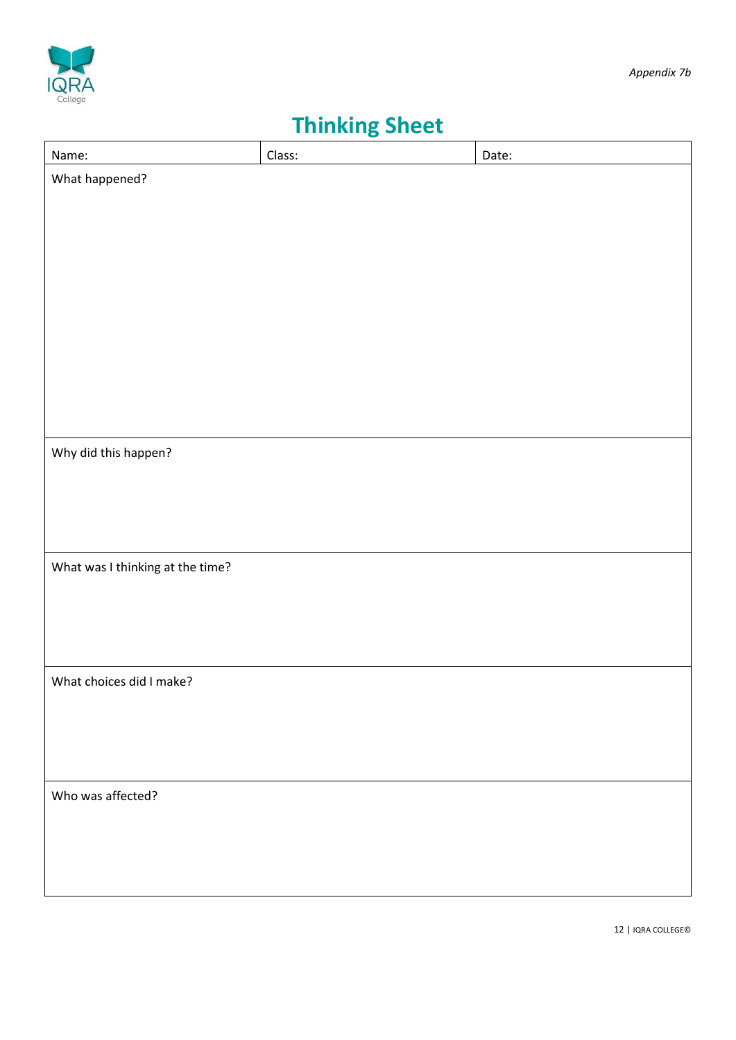



## **Thinking Sheet**

| Name:                            | Class: | Date: |
|----------------------------------|--------|-------|
| What happened?                   |        |       |
|                                  |        |       |
|                                  |        |       |
|                                  |        |       |
|                                  |        |       |
|                                  |        |       |
|                                  |        |       |
|                                  |        |       |
|                                  |        |       |
|                                  |        |       |
| Why did this happen?             |        |       |
|                                  |        |       |
|                                  |        |       |
|                                  |        |       |
|                                  |        |       |
| What was I thinking at the time? |        |       |
|                                  |        |       |
|                                  |        |       |
|                                  |        |       |
| What choices did I make?         |        |       |
|                                  |        |       |
|                                  |        |       |
|                                  |        |       |
| Who was affected?                |        |       |
|                                  |        |       |
|                                  |        |       |
|                                  |        |       |
|                                  |        |       |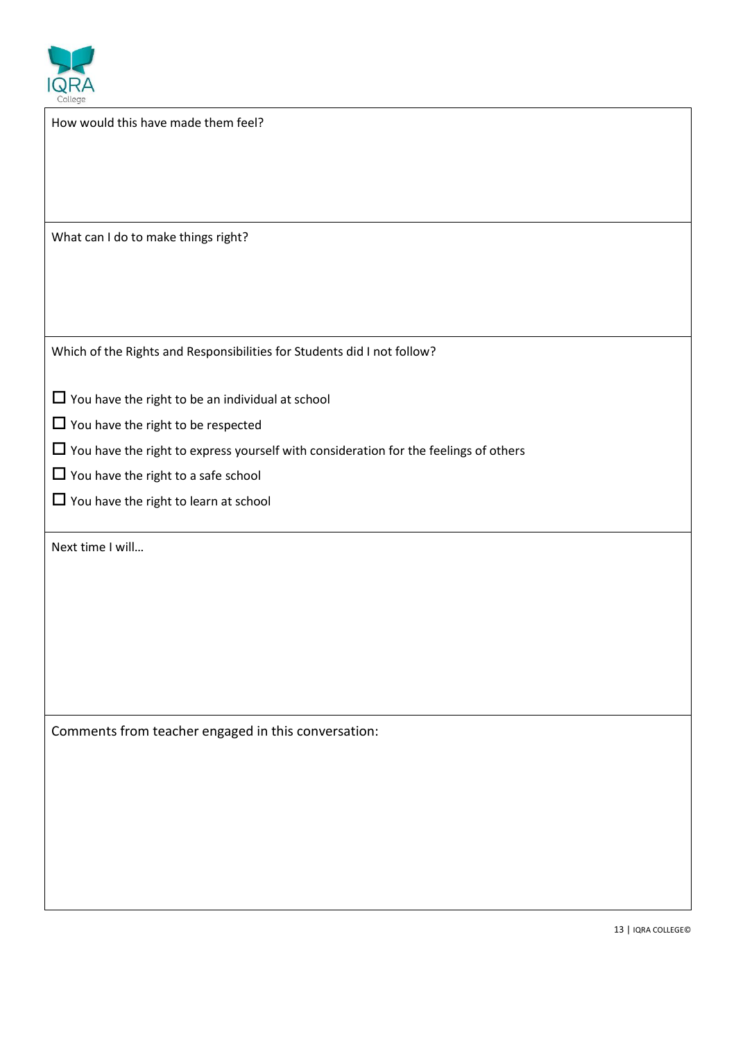

| $\sim$<br>College                                                                           |
|---------------------------------------------------------------------------------------------|
| How would this have made them feel?                                                         |
|                                                                                             |
|                                                                                             |
|                                                                                             |
| What can I do to make things right?                                                         |
|                                                                                             |
|                                                                                             |
| Which of the Rights and Responsibilities for Students did I not follow?                     |
| $\Box$ You have the right to be an individual at school                                     |
| $\Box$ You have the right to be respected                                                   |
| $\Box$ You have the right to express yourself with consideration for the feelings of others |
| $\Box$ You have the right to a safe school                                                  |
| $\Box$ You have the right to learn at school                                                |
| Next time I will                                                                            |
|                                                                                             |
|                                                                                             |
|                                                                                             |
|                                                                                             |
|                                                                                             |
| Comments from teacher engaged in this conversation:                                         |
|                                                                                             |
|                                                                                             |
|                                                                                             |
|                                                                                             |
|                                                                                             |
|                                                                                             |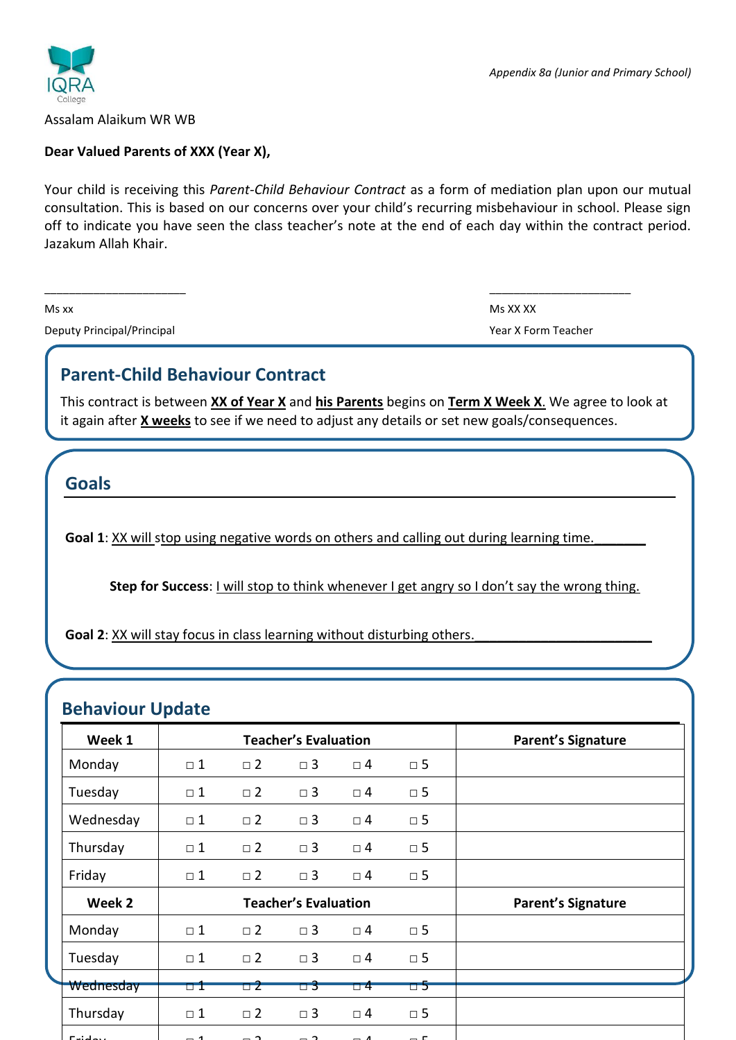

Assalam Alaikum WR WB

#### **Dear Valued Parents of XXX (Year X),**

Your child is receiving this *Parent-Child Behaviour Contract* as a form of mediation plan upon our mutual consultation. This is based on our concerns over your child's recurring misbehaviour in school. Please sign off to indicate you have seen the class teacher's note at the end of each day within the contract period. Jazakum Allah Khair.

 $\frac{1}{2}$  , the contribution of the contribution of the contribution of the contribution of the contribution of the contribution of the contribution of the contribution of the contribution of the contribution of the contr

Deputy Principal/Principal *Deputy Principal* Year X Form Teacher

Ms xx Ms XX XX

### **Parent-Child Behaviour Contract**

This contract is between **XX of Year X** and **his Parents** begins on **Term X Week X**. We agree to look at it again after **X weeks** to see if we need to adjust any details or set new goals/consequences.

**Goals**

Goal 1: XX will stop using negative words on others and calling out during learning time.

**Step for Success: I will stop to think whenever I get angry so I don't say the wrong thing.** 

**Goal 2**: XX will stay focus in class learning without disturbing others.

### **Behaviour Update**

| Week 1    |          |             | <b>Teacher's Evaluation</b> | <b>Parent's Signature</b> |             |  |
|-----------|----------|-------------|-----------------------------|---------------------------|-------------|--|
| Monday    | $\Box$ 1 | $\Box$ 2    | $\Box$ 3                    | $\Box$ 4                  | $\square$ 5 |  |
| Tuesday   | $\Box$ 1 | $\square$ 2 | $\square$ 3                 | $\Box$ 4                  | $\square$ 5 |  |
| Wednesday | $\Box$ 1 | $\square$ 2 | $\Box$ 3                    | $\square$ 4               | $\square$ 5 |  |
| Thursday  | $\Box$ 1 | $\square$ 2 | $\Box$ 3                    | $\Box$ 4                  | $\square$ 5 |  |
| Friday    | $\Box$ 1 | $\square$ 2 | $\Box$ 3                    | $\Box$ 4                  | $\square$ 5 |  |
| Week 2    |          |             | <b>Teacher's Evaluation</b> | <b>Parent's Signature</b> |             |  |
| Monday    | $\Box$ 1 | $\square$ 2 | $\Box$ 3                    | $\Box$ 4                  | $\square$ 5 |  |
| Tuesday   | $\Box$ 1 | $\square$ 2 | $\square$ 3                 | $\Box$ 4                  | $\square$ 5 |  |
| Wednesday | o 1      | 52          | $\Box$ 3                    | $\Box$ 4                  | □ 5         |  |
| Thursday  | $\Box$ 1 | $\square$ 2 | $\square$ 3                 | $\Box$ 4                  | $\square$ 5 |  |
| Fridou    |          |             |                             |                           |             |  |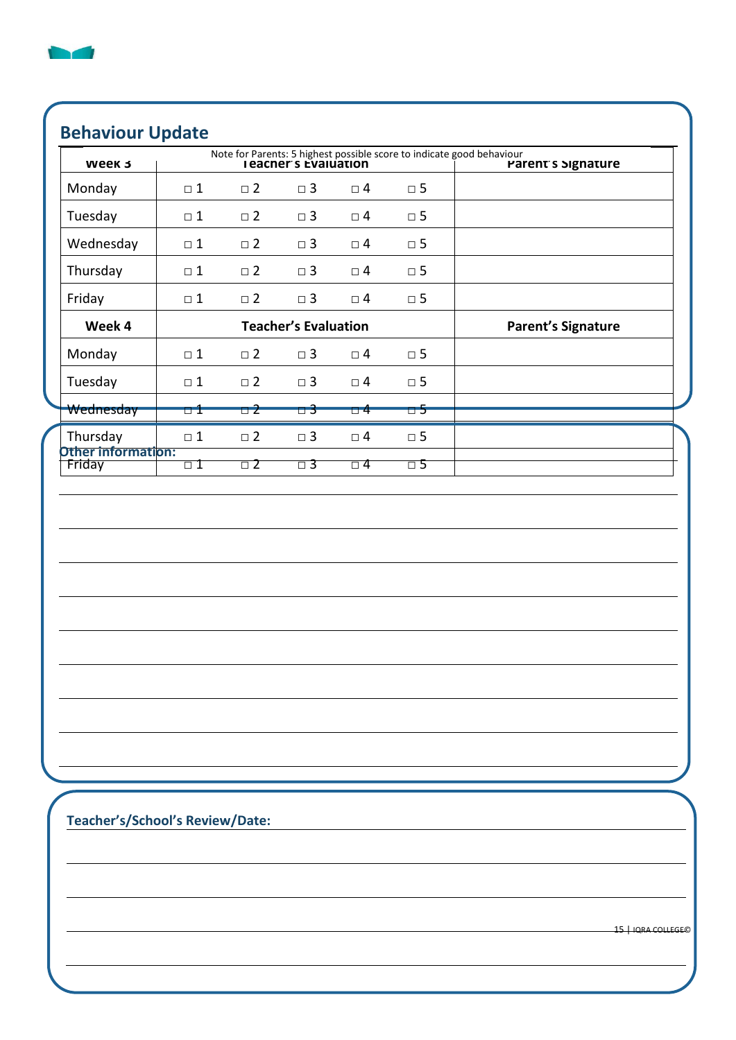

### **Behaviour Update**

| Week 3                       |          |                             |                |                           | Note for Parents: 5 highest possible score to indicate good behaviour<br><b>I eacher's Evaluation</b> | Parent's Signature |
|------------------------------|----------|-----------------------------|----------------|---------------------------|-------------------------------------------------------------------------------------------------------|--------------------|
| Monday                       | $\Box$ 1 | $\square$ 2                 | $\square$<br>3 | $\square$ 4               | $\square$ 5                                                                                           |                    |
| Tuesday                      | $\Box$ 1 | $\square$ 2                 | $\square$ 3    | $\square$ 4               | $\square$ 5                                                                                           |                    |
| Wednesday                    | $\Box$ 1 | $\square$ 2                 | $\square$ 3    | $\square$ 4               | $\square$ 5                                                                                           |                    |
| Thursday                     | $\Box$ 1 | $\square$ 2                 | $\square$<br>3 | $\Box$ 4                  | $\square$ 5                                                                                           |                    |
| Friday                       | $\Box$ 1 | $\square$ 2                 | $\Box$ 3       | $\square$ 4               | $\square$ 5                                                                                           |                    |
| Week 4                       |          | <b>Teacher's Evaluation</b> |                | <b>Parent's Signature</b> |                                                                                                       |                    |
| Monday                       | $\Box$ 1 | $\square$ 2                 | $\square$ 3    | $\square$ 4               | $\square$ 5                                                                                           |                    |
| Tuesday                      | $\Box$ 1 | $\square$ 2                 | $\Box$ 3       | $\square$ 4               | $\square$ 5                                                                                           |                    |
| Wednesday                    | u 1      | $\Box$ 2                    | $\Box$ 3       | $\Box$ 4                  | $\overline{\Box}$                                                                                     |                    |
| Thursday                     | $\Box$ 1 | $\square$ 2                 | $\square$<br>3 | $\square$ 4               | $\square$ 5                                                                                           |                    |
| Other information:<br>Friday | $\Box$ 1 | $\square$ 2                 | $\Box$ 3       | $\square$ 4               | $\Box$ 5                                                                                              |                    |
|                              |          |                             |                |                           |                                                                                                       |                    |
|                              |          |                             |                |                           |                                                                                                       |                    |
|                              |          |                             |                |                           |                                                                                                       |                    |
|                              |          |                             |                |                           |                                                                                                       |                    |